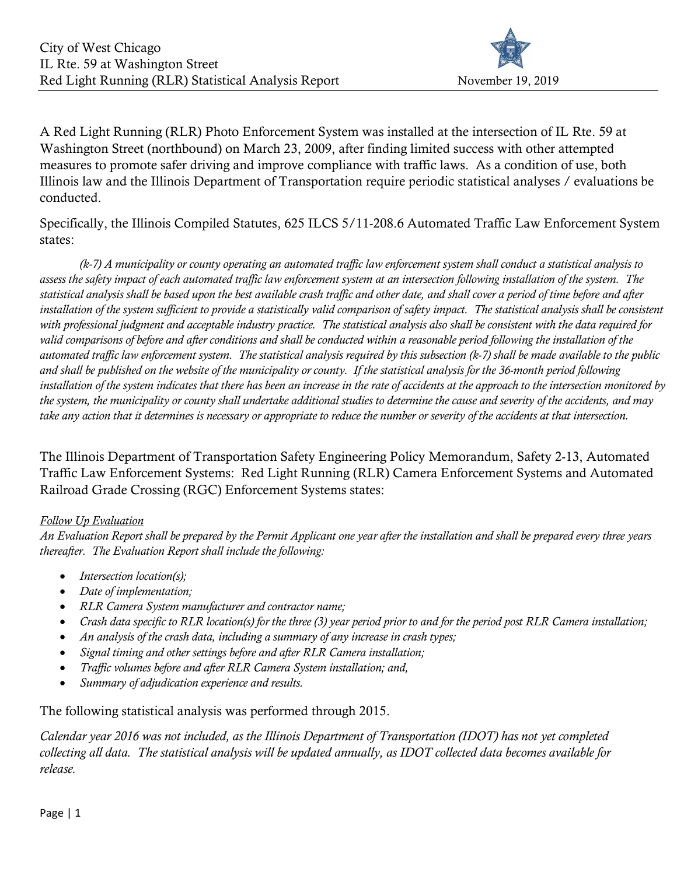

A Red Light Running (RLR) Photo Enforcement System was installed at the intersection of IL Rte. 59 at Washington Street (northbound) on March 23, 2009, after finding limited success with other attempted measures to promote safer driving and improve compliance with traffic laws. As a condition of use, both Illinois law and the Illinois Department of Transportation require periodic statistical analyses / evaluations be conducted.

Specifically, the Illinois Compiled Statutes, 625 ILCS 5/11-208.6 Automated Traffic Law Enforcement System states:

 (k-7) A municipality or county operating an automated traffic law enforcement system shall conduct a statistical analysis to assess the safety impact of each automated traffic law enforcement system at an intersection following installation of the system. The statistical analysis shall be based upon the best available crash traffic and other date, and shall cover a period of time before and after installation of the system sufficient to provide a statistically valid comparison of safety impact. The statistical analysis shall be consistent with professional judgment and acceptable industry practice. The statistical analysis also shall be consistent with the data required for valid comparisons of before and after conditions and shall be conducted within a reasonable period following the installation of the automated traffic law enforcement system. The statistical analysis required by this subsection (k-7) shall be made available to the public and shall be published on the website of the municipality or county. If the statistical analysis for the 36-month period following installation of the system indicates that there has been an increase in the rate of accidents at the approach to the intersection monitored by the system, the municipality or county shall undertake additional studies to determine the cause and severity of the accidents, and may take any action that it determines is necessary or appropriate to reduce the number or severity of the accidents at that intersection.

The Illinois Department of Transportation Safety Engineering Policy Memorandum, Safety 2-13, Automated Traffic Law Enforcement Systems: Red Light Running (RLR) Camera Enforcement Systems and Automated Railroad Grade Crossing (RGC) Enforcement Systems states:

#### Follow Up Evaluation

An Evaluation Report shall be prepared by the Permit Applicant one year after the installation and shall be prepared every three years thereafter. The Evaluation Report shall include the following:

- $\bullet$  Intersection location(s);
- Date of implementation;
- RLR Camera System manufacturer and contractor name;
- Crash data specific to RLR location(s) for the three (3) year period prior to and for the period post RLR Camera installation;
- An analysis of the crash data, including a summary of any increase in crash types;
- Signal timing and other settings before and after RLR Camera installation;
- Traffic volumes before and after RLR Camera System installation; and,
- Summary of adjudication experience and results.

The following statistical analysis was performed through 2015.

Calendar year 2016 was not included, as the Illinois Department of Transportation (IDOT) has not yet completed collecting all data. The statistical analysis will be updated annually, as IDOT collected data becomes available for release.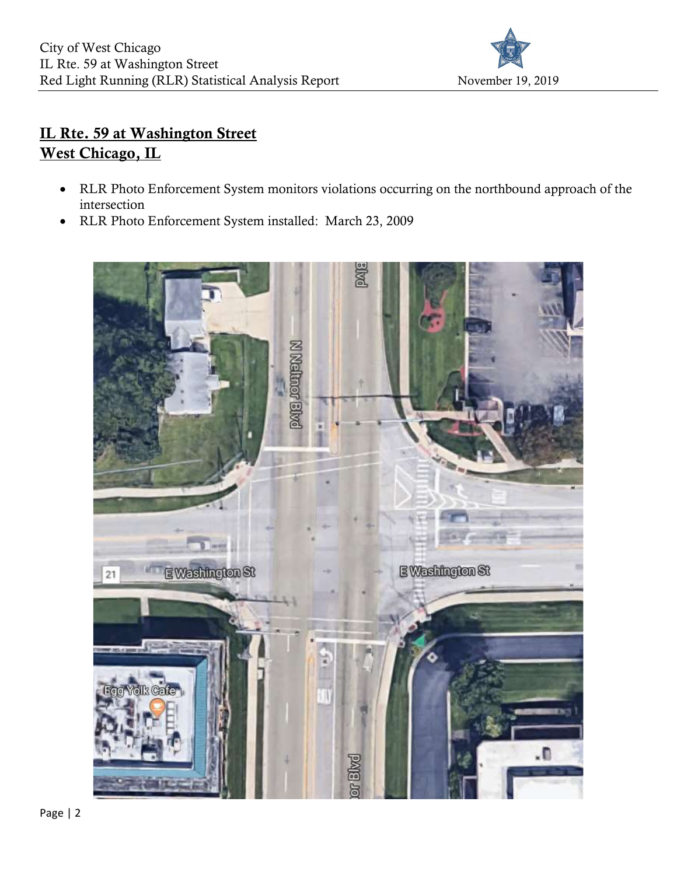

# IL Rte. 59 at Washington Street West Chicago, IL

- RLR Photo Enforcement System monitors violations occurring on the northbound approach of the intersection
- RLR Photo Enforcement System installed: March 23, 2009

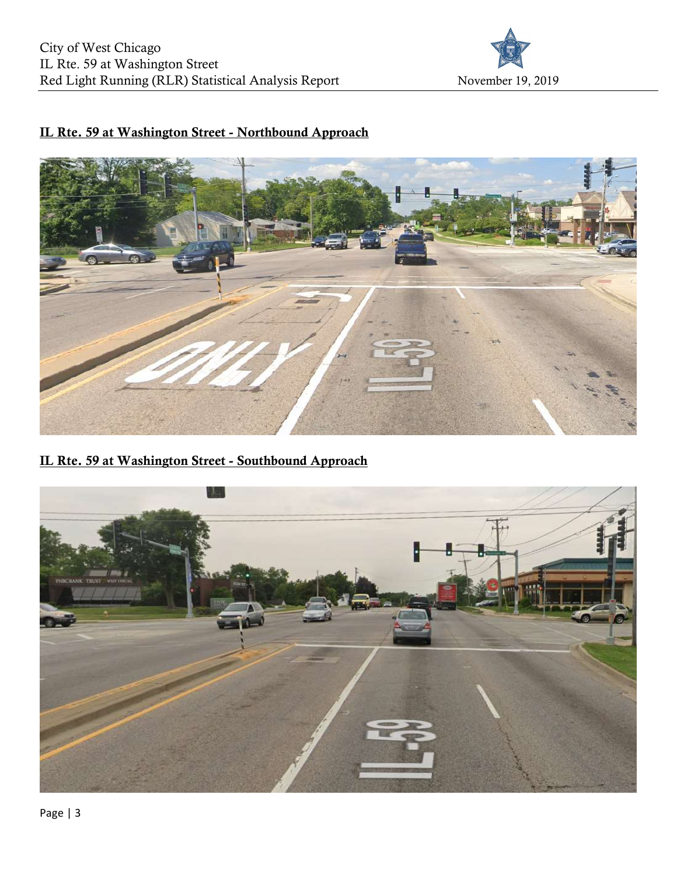

### IL Rte. 59 at Washington Street - Northbound Approach



IL Rte. 59 at Washington Street - Southbound Approach

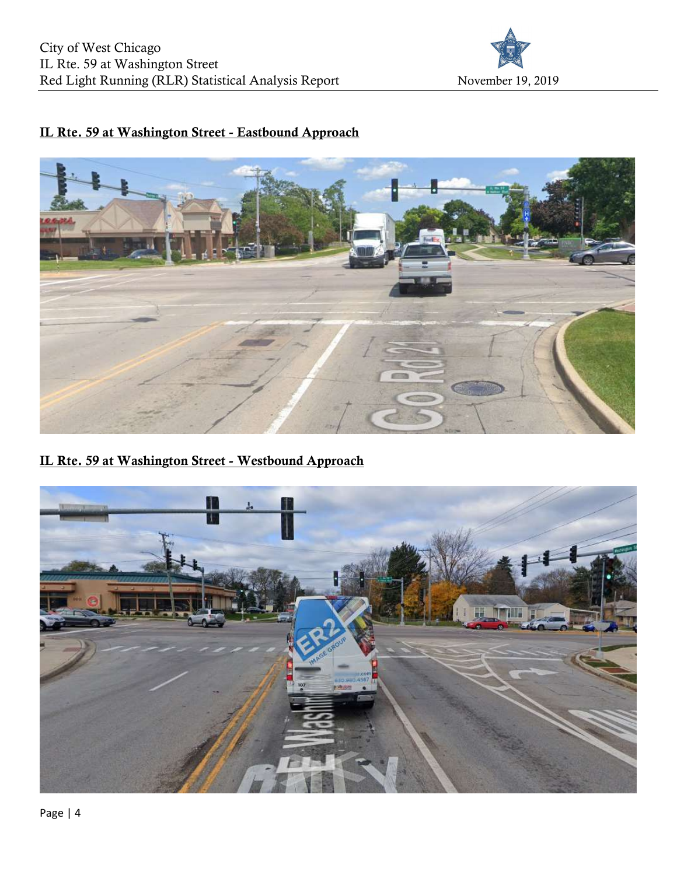

### IL Rte. 59 at Washington Street - Eastbound Approach



### IL Rte. 59 at Washington Street - Westbound Approach

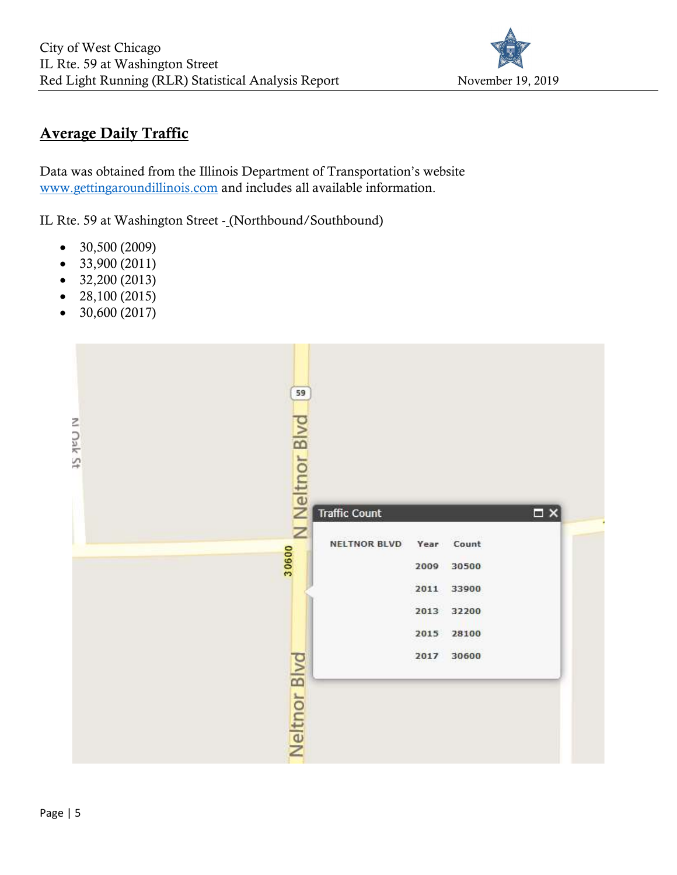

# Average Daily Traffic

Data was obtained from the Illinois Department of Transportation's website www.gettingaroundillinois.com and includes all available information.

IL Rte. 59 at Washington Street - (Northbound/Southbound)

- $\bullet$  30,500 (2009)
- $\bullet$  33,900 (2011)
- $\bullet$  32,200 (2013)
- $\bullet$  28,100 (2015)
- 30,600 (2017)

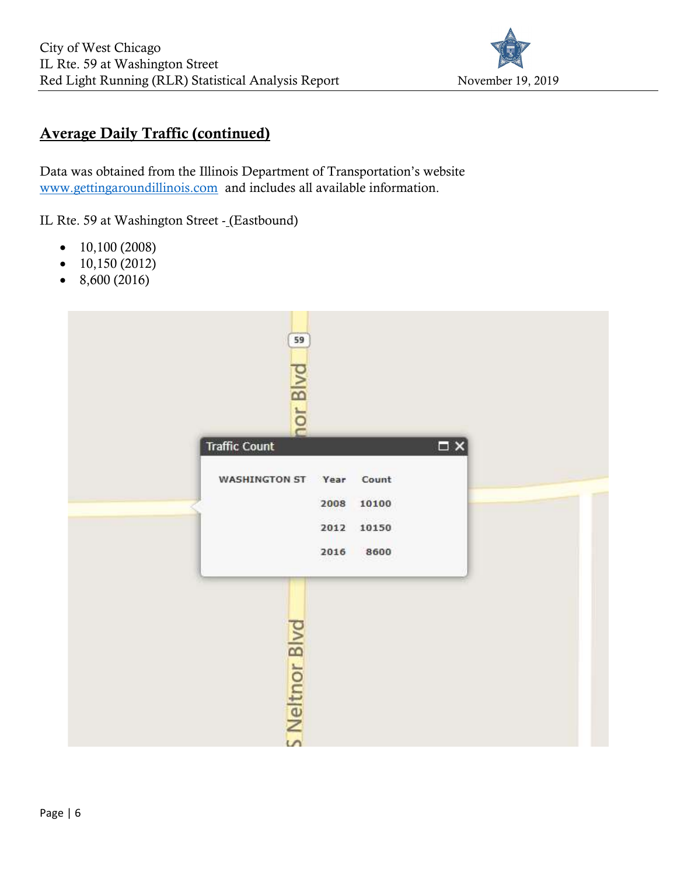

# Average Daily Traffic (continued)

Data was obtained from the Illinois Department of Transportation's website www.gettingaroundillinois.com and includes all available information.

IL Rte. 59 at Washington Street - (Eastbound)

- $\bullet$  10,100 (2008)
- $\bullet$  10,150 (2012)
- $\bullet$  8,600 (2016)

| 59<br>nor Blvd<br><b>Traffic Count</b> | $\overline{\Box}$ $\times$                                      |
|----------------------------------------|-----------------------------------------------------------------|
| <b>WASHINGTON ST</b>                   | Count<br>Year<br>2008<br>10100<br>2012<br>10150<br>8600<br>2016 |
| <b>S</b> Neltnor Blvd                  |                                                                 |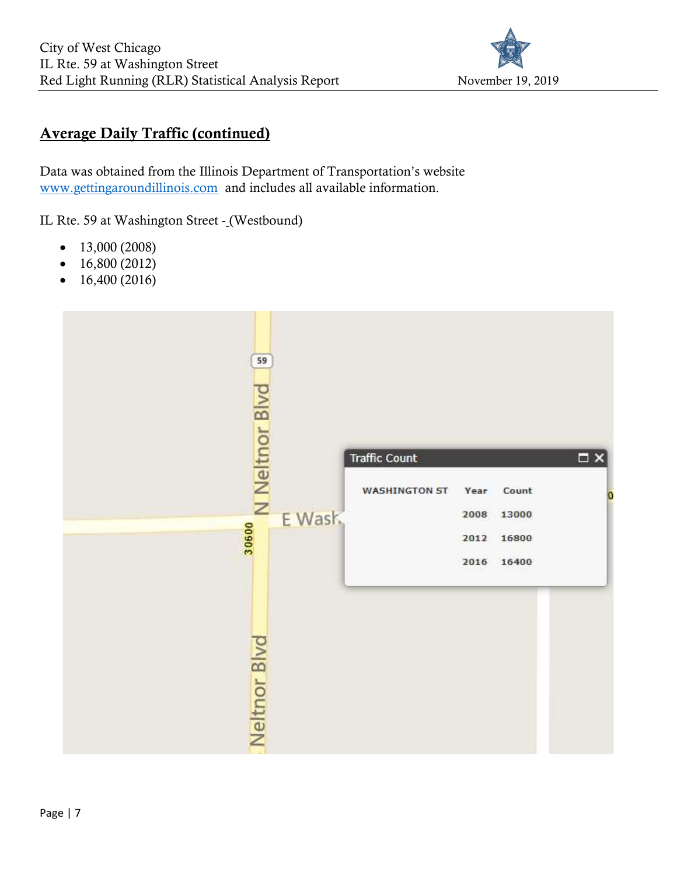

# Average Daily Traffic (continued)

Data was obtained from the Illinois Department of Transportation's website www.gettingaroundillinois.com and includes all available information.

IL Rte. 59 at Washington Street - (Westbound)

- $\bullet$  13,000 (2008)
- $\bullet$  16,800 (2012)
- $\bullet$  16,400 (2016)

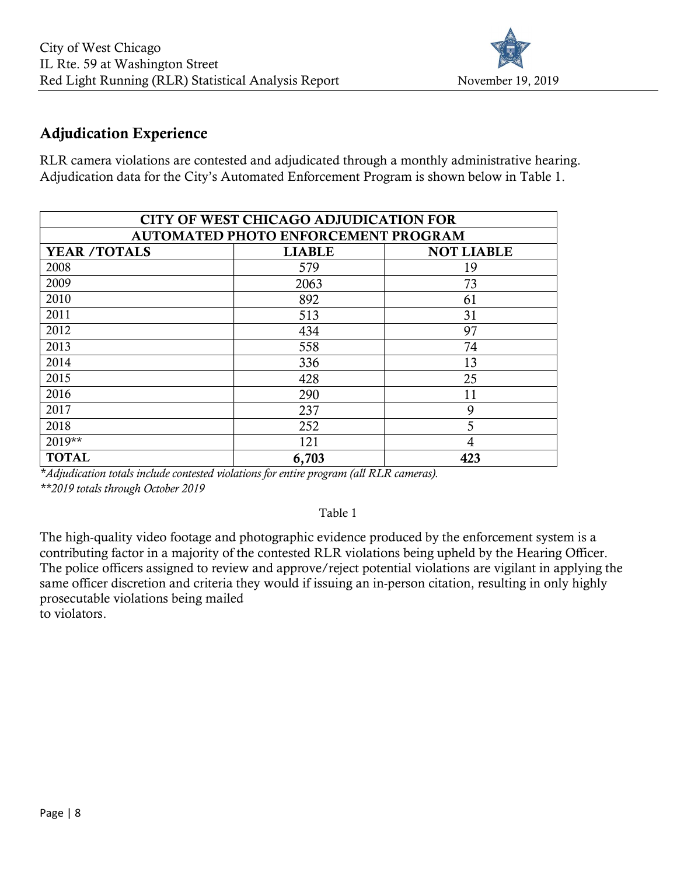

## Adjudication Experience

RLR camera violations are contested and adjudicated through a monthly administrative hearing. Adjudication data for the City's Automated Enforcement Program is shown below in Table 1.

| <b>CITY OF WEST CHICAGO ADJUDICATION FOR</b> |                                                                                                                                             |     |  |  |  |  |  |  |
|----------------------------------------------|---------------------------------------------------------------------------------------------------------------------------------------------|-----|--|--|--|--|--|--|
| <b>AUTOMATED PHOTO ENFORCEMENT PROGRAM</b>   |                                                                                                                                             |     |  |  |  |  |  |  |
| <b>YEAR /TOTALS</b>                          | <b>LIABLE</b><br><b>NOT LIABLE</b><br>579<br>19<br>73<br>2063<br>892<br>61<br>513<br>31<br>434<br>97<br>558<br>74<br>336<br>13<br>25<br>428 |     |  |  |  |  |  |  |
| 2008                                         |                                                                                                                                             |     |  |  |  |  |  |  |
| 2009                                         |                                                                                                                                             |     |  |  |  |  |  |  |
| 2010                                         |                                                                                                                                             |     |  |  |  |  |  |  |
| 2011                                         |                                                                                                                                             |     |  |  |  |  |  |  |
| 2012                                         |                                                                                                                                             |     |  |  |  |  |  |  |
| 2013                                         |                                                                                                                                             |     |  |  |  |  |  |  |
| 2014                                         |                                                                                                                                             |     |  |  |  |  |  |  |
| 2015                                         |                                                                                                                                             |     |  |  |  |  |  |  |
| 2016                                         | 290                                                                                                                                         | 11  |  |  |  |  |  |  |
| 2017                                         | 237                                                                                                                                         | 9   |  |  |  |  |  |  |
| 2018                                         | 252                                                                                                                                         | 5   |  |  |  |  |  |  |
| 2019**                                       | 121                                                                                                                                         | 4   |  |  |  |  |  |  |
| <b>TOTAL</b>                                 | 6,703                                                                                                                                       | 423 |  |  |  |  |  |  |

\*Adjudication totals include contested violations for entire program (all RLR cameras). \*\*2019 totals through October 2019

Table 1

The high-quality video footage and photographic evidence produced by the enforcement system is a contributing factor in a majority of the contested RLR violations being upheld by the Hearing Officer. The police officers assigned to review and approve/reject potential violations are vigilant in applying the same officer discretion and criteria they would if issuing an in-person citation, resulting in only highly prosecutable violations being mailed to violators.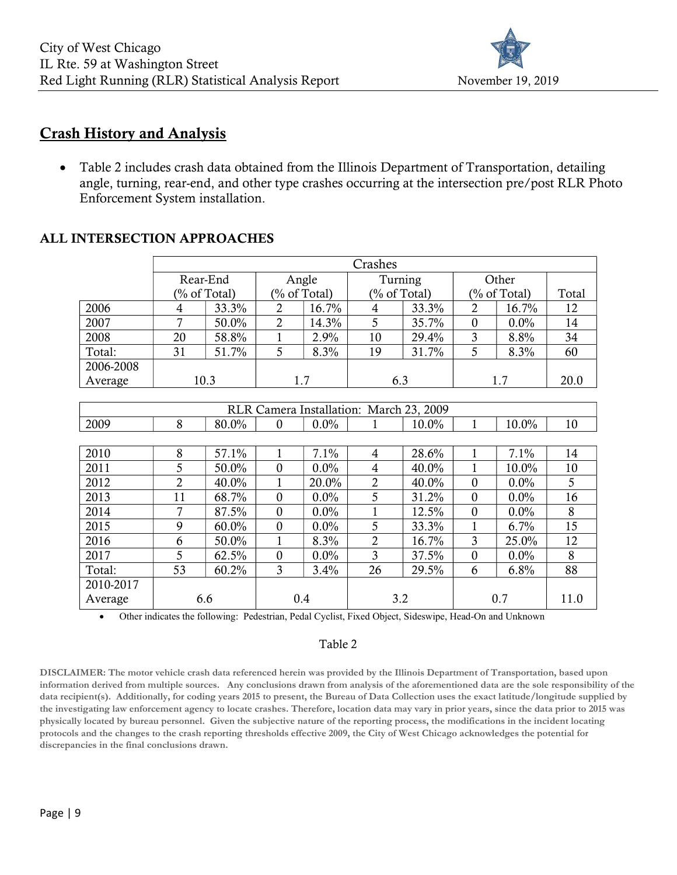

#### Crash History and Analysis

 Table 2 includes crash data obtained from the Illinois Department of Transportation, detailing angle, turning, rear-end, and other type crashes occurring at the intersection pre/post RLR Photo Enforcement System installation.

#### ALL INTERSECTION APPROACHES

|           |    | Crashes         |     |                 |         |                 |       |              |    |  |  |
|-----------|----|-----------------|-----|-----------------|---------|-----------------|-------|--------------|----|--|--|
|           |    | Rear-End        |     | Angle           | Turning |                 | Other |              |    |  |  |
|           |    | $(\%$ of Total) |     | $(\%$ of Total) |         | $(\%$ of Total) |       | (% of Total) |    |  |  |
| 2006      | 4  | 33.3%           |     | 16.7%           | 4       | 33.3%           | 2     | 16.7%        | 12 |  |  |
| 2007      |    | 50.0%           |     | 14.3%           |         | 35.7%           | 0     | $0.0\%$      | 14 |  |  |
| 2008      | 20 | 58.8%           |     | 2.9%            | 10      | 29.4%           |       | 8.8%         | 34 |  |  |
| Total:    | 31 | 51.7%           |     | 8.3%            | 19      | 31.7%           |       | 8.3%         | 60 |  |  |
| 2006-2008 |    |                 |     |                 |         |                 |       |              |    |  |  |
| Average   |    | 10.3            | 1.7 |                 | 6.3     |                 | 1.7   | 20.0         |    |  |  |

| RLR Camera Installation: March 23, 2009 |    |       |          |         |    |       |              |         |      |
|-----------------------------------------|----|-------|----------|---------|----|-------|--------------|---------|------|
| 2009                                    | 8  | 80.0% | $\Omega$ | $0.0\%$ |    | 10.0% |              | 10.0%   | 10   |
|                                         |    |       |          |         |    |       |              |         |      |
| 2010                                    | 8  | 57.1% |          | 7.1%    | 4  | 28.6% |              | 7.1%    | 14   |
| 2011                                    | 5  | 50.0% | $\theta$ | $0.0\%$ | 4  | 40.0% |              | 10.0%   | 10   |
| 2012                                    | 2  | 40.0% |          | 20.0%   | 2  | 40.0% | $\Omega$     | $0.0\%$ | 5    |
| 2013                                    | 11 | 68.7% | $\Omega$ | $0.0\%$ | 5  | 31.2% | $\theta$     | $0.0\%$ | 16   |
| 2014                                    | 7  | 87.5% | $\theta$ | $0.0\%$ |    | 12.5% | $\mathbf{0}$ | $0.0\%$ | 8    |
| 2015                                    | 9  | 60.0% | $\Omega$ | $0.0\%$ | 5  | 33.3% |              | 6.7%    | 15   |
| 2016                                    | 6  | 50.0% |          | 8.3%    | 2  | 16.7% | 3            | 25.0%   | 12   |
| 2017                                    | 5  | 62.5% | $\Omega$ | $0.0\%$ | 3  | 37.5% | $\theta$     | $0.0\%$ | 8    |
| Total:                                  | 53 | 60.2% | 3        | 3.4%    | 26 | 29.5% | 6            | 6.8%    | 88   |
| 2010-2017                               |    |       |          |         |    |       |              |         |      |
| Average                                 |    | 6.6   |          | 0.4     |    | 3.2   |              | 0.7     | 11.0 |

Other indicates the following: Pedestrian, Pedal Cyclist, Fixed Object, Sideswipe, Head-On and Unknown

#### Table 2

DISCLAIMER: The motor vehicle crash data referenced herein was provided by the Illinois Department of Transportation, based upon information derived from multiple sources. Any conclusions drawn from analysis of the aforementioned data are the sole responsibility of the data recipient(s). Additionally, for coding years 2015 to present, the Bureau of Data Collection uses the exact latitude/longitude supplied by the investigating law enforcement agency to locate crashes. Therefore, location data may vary in prior years, since the data prior to 2015 was physically located by bureau personnel. Given the subjective nature of the reporting process, the modifications in the incident locating protocols and the changes to the crash reporting thresholds effective 2009, the City of West Chicago acknowledges the potential for discrepancies in the final conclusions drawn.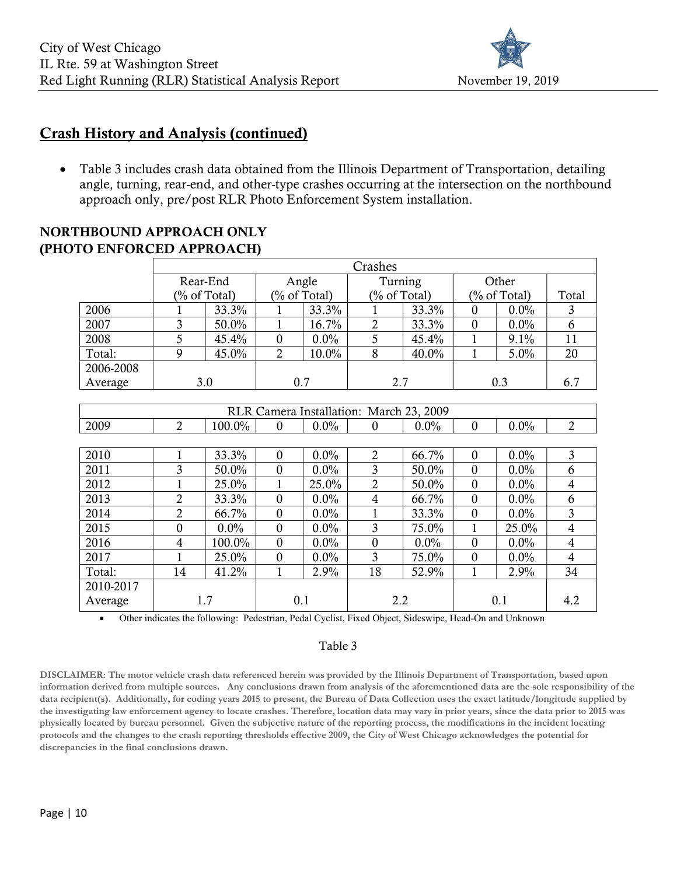

### Crash History and Analysis (continued)

• Table 3 includes crash data obtained from the Illinois Department of Transportation, detailing angle, turning, rear-end, and other-type crashes occurring at the intersection on the northbound approach only, pre/post RLR Photo Enforcement System installation.

| <b>NORTHBOUND APPROACH ONLY</b> |
|---------------------------------|
| (PHOTO ENFORCED APPROACH)       |
|                                 |

|           | Crashes  |                 |     |                 |     |              |     |                 |     |  |
|-----------|----------|-----------------|-----|-----------------|-----|--------------|-----|-----------------|-----|--|
|           | Rear-End |                 |     | Angle           |     | Turning      |     | Other           |     |  |
|           |          | $(\%$ of Total) |     | $(\%$ of Total) |     | (% of Total) |     | $(\%$ of Total) |     |  |
| 2006      |          | 33.3%           |     | 33.3%           |     | 33.3%        | O   | $0.0\%$         |     |  |
| 2007      |          | 50.0%           |     | 16.7%           |     | 33.3%        | 0   | $0.0\%$         | o   |  |
| 2008      |          | 45.4%           |     | $0.0\%$         |     | 45.4%        |     | 9.1%            |     |  |
| Total:    |          | 45.0%           |     | 10.0%           | 8   | 40.0%        |     | $5.0\%$         | 20  |  |
| 2006-2008 |          |                 |     |                 |     |              |     |                 |     |  |
| Average   |          | 3.0             | 0.7 |                 | 2.7 |              | 0.3 |                 | 6.7 |  |

| RLR Camera Installation: March 23, 2009 |                |         |          |         |                  |         |                  |         |     |
|-----------------------------------------|----------------|---------|----------|---------|------------------|---------|------------------|---------|-----|
| 2009                                    | 2              | 100.0%  | $\Omega$ | $0.0\%$ | $\boldsymbol{0}$ | $0.0\%$ | $\boldsymbol{0}$ | $0.0\%$ | 2   |
|                                         |                |         |          |         |                  |         |                  |         |     |
| 2010                                    |                | 33.3%   | $\Omega$ | $0.0\%$ | 2                | 66.7%   | $\Omega$         | $0.0\%$ | 3   |
| 2011                                    | 3              | 50.0%   | $\Omega$ | $0.0\%$ | 3                | 50.0%   | $\theta$         | $0.0\%$ | 6   |
| 2012                                    |                | 25.0%   |          | 25.0%   | 2                | 50.0%   | $\Omega$         | $0.0\%$ | 4   |
| 2013                                    | 2              | 33.3%   | $\Omega$ | $0.0\%$ | 4                | 66.7%   | $\Omega$         | $0.0\%$ | 6   |
| 2014                                    | $\overline{2}$ | 66.7%   | $\Omega$ | $0.0\%$ |                  | 33.3%   | $\theta$         | $0.0\%$ | 3   |
| 2015                                    | $\mathbf{0}$   | $0.0\%$ | $\Omega$ | $0.0\%$ | 3                | 75.0%   |                  | 25.0%   | 4   |
| 2016                                    | 4              | 100.0%  | $\Omega$ | $0.0\%$ | $\Omega$         | $0.0\%$ | 0                | $0.0\%$ | 4   |
| 2017                                    |                | 25.0%   | $\Omega$ | $0.0\%$ | 3                | 75.0%   | $\Omega$         | $0.0\%$ | 4   |
| Total:                                  | 14             | 41.2%   |          | 2.9%    | 18               | 52.9%   |                  | 2.9%    | 34  |
| 2010-2017                               |                |         |          |         |                  |         |                  |         |     |
| Average                                 |                | 1.7     | 0.1      |         |                  | 2.2     |                  | 0.1     | 4.2 |

Other indicates the following: Pedestrian, Pedal Cyclist, Fixed Object, Sideswipe, Head-On and Unknown

#### Table 3

DISCLAIMER: The motor vehicle crash data referenced herein was provided by the Illinois Department of Transportation, based upon information derived from multiple sources. Any conclusions drawn from analysis of the aforementioned data are the sole responsibility of the data recipient(s). Additionally, for coding years 2015 to present, the Bureau of Data Collection uses the exact latitude/longitude supplied by the investigating law enforcement agency to locate crashes. Therefore, location data may vary in prior years, since the data prior to 2015 was physically located by bureau personnel. Given the subjective nature of the reporting process, the modifications in the incident locating protocols and the changes to the crash reporting thresholds effective 2009, the City of West Chicago acknowledges the potential for discrepancies in the final conclusions drawn.